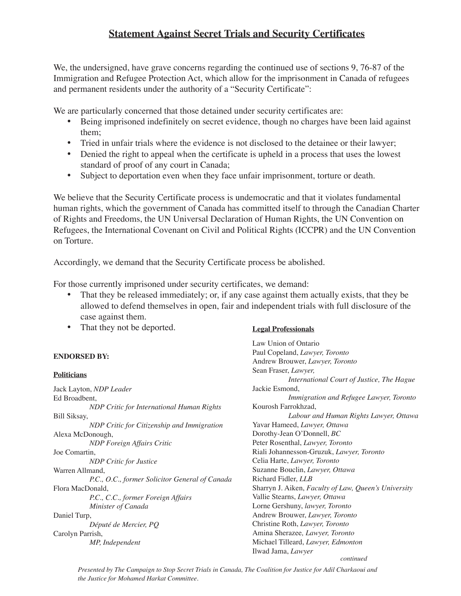# **Statement Against Secret Trials and Security Certificates**

We, the undersigned, have grave concerns regarding the continued use of sections 9, 76-87 of the Immigration and Refugee Protection Act, which allow for the imprisonment in Canada of refugees and permanent residents under the authority of a "Security Certificate":

We are particularly concerned that those detained under security certificates are:

- Being imprisoned indefinitely on secret evidence, though no charges have been laid against them;
- Tried in unfair trials where the evidence is not disclosed to the detainee or their lawyer;
- Denied the right to appeal when the certificate is upheld in a process that uses the lowest standard of proof of any court in Canada;
- Subject to deportation even when they face unfair imprisonment, torture or death.

We believe that the Security Certificate process is undemocratic and that it violates fundamental human rights, which the government of Canada has committed itself to through the Canadian Charter of Rights and Freedoms, the UN Universal Declaration of Human Rights, the UN Convention on Refugees, the International Covenant on Civil and Political Rights (ICCPR) and the UN Convention on Torture.

Accordingly, we demand that the Security Certificate process be abolished.

For those currently imprisoned under security certificates, we demand:

- That they be released immediately; or, if any case against them actually exists, that they be allowed to defend themselves in open, fair and independent trials with full disclosure of the case against them.
- That they not be deported.

## **ENDORSED BY:**

## **Politicians**

Jack Layton, *NDP Leader* Ed Broadbent, *NDP Critic for International Human Rights* Bill Siksay, *NDP Critic for Citizenship and Immigration* Alexa McDonough, *NDP Foreign Affairs Critic* Joe Comartin, *NDP Critic for Justice* Warren Allmand, *P.C., O.C., former Solicitor General of Canada* Flora MacDonald, *P.C., C.C., former Foreign Affairs Minister of Canada* Daniel Turp, *Député de Mercier, PQ* Carolyn Parrish, *MP, Independent*

## **Legal Professionals**

Law Union of Ontario Paul Copeland, *Lawyer, Toronto* Andrew Brouwer, *Lawyer, Toronto* Sean Fraser, *Lawyer, International Court of Justice, The Hague* Jackie Esmond, *Immigration and Refugee Lawyer, Toronto* Kourosh Farrokhzad, *Labour and Human Rights Lawyer, Ottawa* Yavar Hameed, *Lawyer, Ottawa* Dorothy-Jean O'Donnell, *BC* Peter Rosenthal, *Lawyer, Toronto* Riali Johannesson-Gruzuk, *Lawyer, Toronto* Celia Harte, *Lawyer, Toronto* Suzanne Bouclin, *Lawyer, Ottawa* Richard Fidler, *LLB* Sharryn J. Aiken, *Faculty of Law, Queen's University* Vallie Stearns, *Lawyer, Ottawa* Lorne Gershuny, *lawyer, Toronto* Andrew Brouwer, *Lawyer, Toronto* Christine Roth, *Lawyer, Toronto* Amina Sherazee*, Lawyer, Toronto* Michael Tilleard, *Lawyer, Edmonton* Ilwad Jama, *Lawyer*

*continued*

*Presented by The Campaign to Stop Secret Trials in Canada, The Coalition for Justice for Adil Charkaoui and the Justice for Mohamed Harkat Committee.*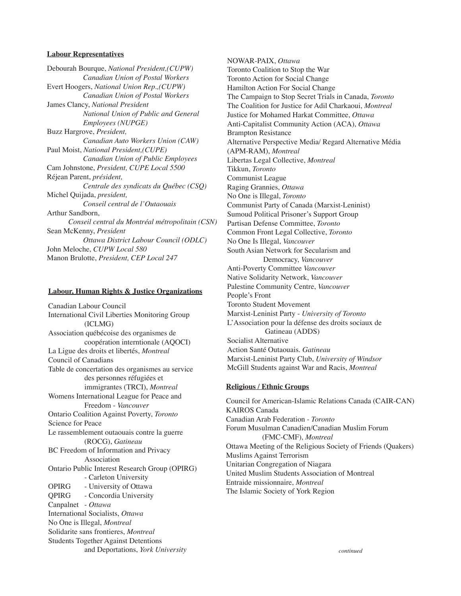### **Labour Representatives**

Debourah Bourque, *National President,(CUPW) Canadian Union of Postal Workers* Evert Hoogers, *National Union Rep.,(CUPW) Canadian Union of Postal Workers* James Clancy, *National President National Union of Public and General Employees (NUPGE)* Buzz Hargrove, *President, Canadian Auto Workers Union (CAW)* Paul Moist, *National President,(CUPE) Canadian Union of Public Employees* Cam Johnstone, *President, CUPE Local 5500* Réjean Parent, *président, Centrale des syndicats du Québec (CSQ)* Michel Quijada, *president, Conseil central de l'Outaouais* Arthur Sandborn, *Conseil central du Montréal métropolitain (CSN)* Sean McKenny, *President Ottawa District Labour Council (ODLC)* John Meloche, *CUPW Local 580* Manon Brulotte, *President, CEP Local 247*

#### **Labour, Human Rights & Justice Organizations**

Canadian Labour Council International Civil Liberties Monitoring Group (ICLMG) Association québécoise des organismes de coopération interntionale (AQOCI) La Ligue des droits et libertés, *Montreal* Council of Canadians Table de concertation des organismes au service des personnes réfugiées et immigrantes (TRCI), *Montreal* Womens International League for Peace and Freedom - *Vancouver* Ontario Coalition Against Poverty, *Toronto* Science for Peace Le rassemblement outaouais contre la guerre (ROCG), *Gatineau* BC Freedom of Information and Privacy Association Ontario Public Interest Research Group (OPIRG) - Carleton University OPIRG - University of Ottawa QPIRG - Concordia University Canpalnet - *Ottawa* International Socialists, *Ottawa* No One is Illegal, *Montreal* Solidarite sans frontieres, *Montreal* Students Together Against Detentions and Deportations, *York University*

NOWAR-PAIX, *Ottawa* Toronto Coalition to Stop the War Toronto Action for Social Change Hamilton Action For Social Change The Campaign to Stop Secret Trials in Canada, *Toronto* The Coalition for Justice for Adil Charkaoui, *Montreal* Justice for Mohamed Harkat Committee, *Ottawa* Anti-Capitalist Community Action (ACA), *Ottawa* Brampton Resistance Alternative Perspective Media/ Regard Alternative Média (APM-RAM), *Montreal* Libertas Legal Collective, *Montreal* Tikkun, *Toronto* Communist League Raging Grannies, *Ottawa* No One is Illegal, *Toronto* Communist Party of Canada (Marxist-Leninist) Sumoud Political Prisoner's Support Group Partisan Defense Committee, *Toronto* Common Front Legal Collective, *Toronto* No One Is Illegal, *Vancouver* South Asian Network for Secularism and Democracy, *Vancouver* Anti-Poverty Committee *Vancouver* Native Solidarity Network, *Vancouver* Palestine Community Centre, *Vancouver* People's Front Toronto Student Movement Marxist-Leninist Party - *University of Toronto* L'Association pour la défense des droits sociaux de Gatineau (ADDS) Socialist Alternative Action Santé Outaouais. *Gatineau* Marxist-Leninist Party Club, *University of Windsor* McGill Students against War and Racis, *Montreal*

### **Religious / Ethnic Groups**

Council for American-Islamic Relations Canada (CAIR-CAN) KAIROS Canada Canadian Arab Federation - *Toronto* Forum Musulman Canadien/Canadian Muslim Forum (FMC-CMF), *Montreal* Ottawa Meeting of the Religious Society of Friends (Quakers) Muslims Against Terrorism Unitarian Congregation of Niagara United Muslim Students Association of Montreal Entraide missionnaire, *Montreal* The Islamic Society of York Region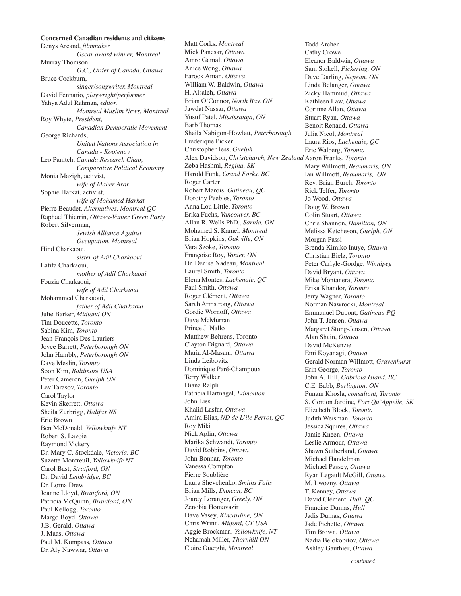## **Concerned Canadian residents and citizens**

Denys Arcand, *filmmaker Oscar award winner, Montreal* Murray Thomson *O.C., Order of Canada, Ottawa* Bruce Cockburn, *singer/songwriter, Montreal* David Fennario, *playwright/performer* Yahya Adul Rahman, *editor, Montreal Muslim News, Montreal* Roy Whyte, *President, Canadian Democratic Movement* George Richards, *United Nations Association in Canada - Kootenay* Leo Panitch, *Canada Research Chair, Comparative Political Economy* Monia Mazigh, activist, *wife of Maher Arar* Sophie Harkat, activist, *wife of Mohamed Harkat* Pierre Beaudet, *Alternatives, Montreal QC* Raphael Thierrin, *Ottawa-Vanier Green Party* Robert Silverman, *Jewish Alliance Against Occupation, Montreal* Hind Charkaoui, *sister of Adil Charkaoui* Latifa Charkaoui, *mother of Adil Charkaoui* Fouzia Charkaoui, *wife of Adil Charkaoui* Mohammed Charkaoui, *father of Adil Charkaoui* Julie Barker, *Midland ON* Tim Doucette, *Toronto* Sabina Kim, *Toronto* Jean-François Des Lauriers Joyce Barrett, *Peterborough ON* John Hambly, *Peterborough ON* Dave Meslin, *Toronto* Soon Kim, *Baltimore USA* Peter Cameron, *Guelph ON* Lev Tarasov, *Toronto* Carol Taylor Kevin Skerrett, *Ottawa* Sheila Zurbrigg, *Halifax NS* Eric Brown Ben McDonald, *Yellowknife NT* Robert S. Lavoie Raymond Vickery Dr. Mary C. Stockdale, *Victoria, BC* Suzette Montreuil, *Yellowknife NT* Carol Bast, *Stratford, ON* Dr. David *Lethbridge, BC* Dr. Lorna Drew Joanne Lloyd, *Brantford, ON* Patricia McQuinn, *Brantford, ON* Paul Kellogg, *Toronto* Margo Boyd, *Ottawa* J.B. Gerald, *Ottawa* J. Maas, *Ottawa* Paul M. Kompass, *Ottawa* Dr. Aly Nawwar, *Ottawa*

Matt Corks, *Montreal* Mick Panesar, *Ottawa* Amro Gamal, *Ottawa* Anice Wong, *Ottawa* Farook Aman, *Ottawa* William W. Baldwin, *Ottawa* H. Alsaleh, *Ottawa* Brian O'Connor, *North Bay, ON* Jawdat Nassar, *Ottawa* Yusuf Patel, *Mississauga, ON* Barb Thomas Sheila Nabigon-Howlett, *Peterborough* Frederique Picker Christopher Jess, *Guelph* Alex Davidson, *Christchurch, New Zealand* Aaron Franks, *Toronto* Zeba Hashmi, *Regina, SK* Harold Funk, *Grand Forks, BC* Roger Carter Robert Marois, *Gatineau, QC* Dorothy Peebles, *Toronto* Anna Lou Little, *Toronto* Erika Fuchs, *Vancouver, BC* Allan R. Wells PhD., *Sarnia, ON* Mohamed S. Kamel, *Montreal* Brian Hopkins, *Oakville, ON* Vera Szoke, *Toronto* Françoise Roy, *Vanier, ON* Dr. Denise Nadeau, *Montreal* Laurel Smith, *Toronto* Elena Montes, *Lachenaie, QC* Paul Smith, *Ottawa* Roger Clément, *Ottawa* Sarah Armstrong, *Ottawa* Gordie Wornoff, *Ottawa* Dave McMurran Prince J. Nallo Matthew Behrens, Toronto Clayton Dignard, *Ottawa* Maria Al-Masani, *Ottawa* Linda Leibovitz Dominique Paré-Champoux Terry Walker Diana Ralph Patricia Hartnagel, *Edmonton* John Liss Khalid Lasfar, *Ottawa* Amira Elias, *ND de L'ile Perrot, QC* Roy Miki Nick Aplin, *Ottawa* Marika Schwandt, *Toronto* David Robbins*, Ottawa* John Bonnar, *Toronto* Vanessa Compton Pierre Soublière Laura Shevchenko, *Smiths Falls* Brian Mills, *Duncan, BC* Joarey Loranger, *Greely, ON* Zenobia Homavazir Dave Vasey, *Kincardine, ON* Chris Wrinn, *Milford, CT USA* Aggie Brockman, *Yellowknife, NT* Nchamah Miller, *Thornhill ON* Claire Ouerghi, *Montreal*

Todd Archer Cathy Crowe Eleanor Baldwin, *Ottawa* Sam Stokell, *Pickering, ON* Dave Darling, *Nepean, ON* Linda Belanger, *Ottawa* Zicky Hammud, *Ottawa* Kathleen Law, *Ottawa* Corinne Allan, *Ottawa* Stuart Ryan, *Ottawa* Benoit Renaud, *Ottawa* Julia Nicol, *Montreal* Laura Rios, *Lachenaie, QC* Eric Walberg, *Toronto* Mary Willmott, *Beaumaris, ON* Ian Willmott, *Beaumaris, ON* Rev. Brian Burch, *Toronto* Rick Telfer, *Toronto* Jo Wood, *Ottawa* Doug W. Brown Colin Stuart, *Ottawa* Chris Shannon, *Hamilton, ON* Melissa Ketcheson, *Guelph, ON* Morgan Passi Brenda Kimiko Inuye, *Ottawa* Christian Bielz, *Toronto* Peter Carlyle-Gordge, *Winnipeg* David Bryant, *Ottawa* Mike Montanera, *Toronto* Erika Khandor, *Toronto* Jerry Wagner, *Toronto* Norman Nawrocki, *Montreal* Emmanuel Dupont, *Gatineau PQ* John T. Jensen, *Ottawa* Margaret Stong-Jensen, *Ottawa* Alan Shain, *Ottawa* David McKenzie Emi Koyanagi, *Ottawa* Gerald Norman Willmott, *Gravenhurst* Erin George, *Toronto* John A. Hill, *Gabriola Island, BC* C.E. Babb, *Burlington, ON* Punam Khosla, *consultant, Toronto* S. Gordon Jardine, *Fort Qu'Appelle, SK* Elizabeth Block, *Toronto* Judith Weisman, *Toronto* Jessica Squires, *Ottawa* Jamie Kneen, *Ottawa* Leslie Armour, *Ottawa* Shawn Sutherland, *Ottawa* Michael Handelman Michael Passey, *Ottawa* Ryan Legault McGill, *Ottawa* M. Lwozny, *Ottawa* T. Kenney, *Ottawa* David Clément, *Hull, QC* Francine Dumas, *Hull* Jadis Dumas, *Ottawa* Jade Pichette, *Ottawa* Tim Brown, *Ottawa* Nadia Belokopitov, *Ottawa* Ashley Gauthier, *Ottawa*